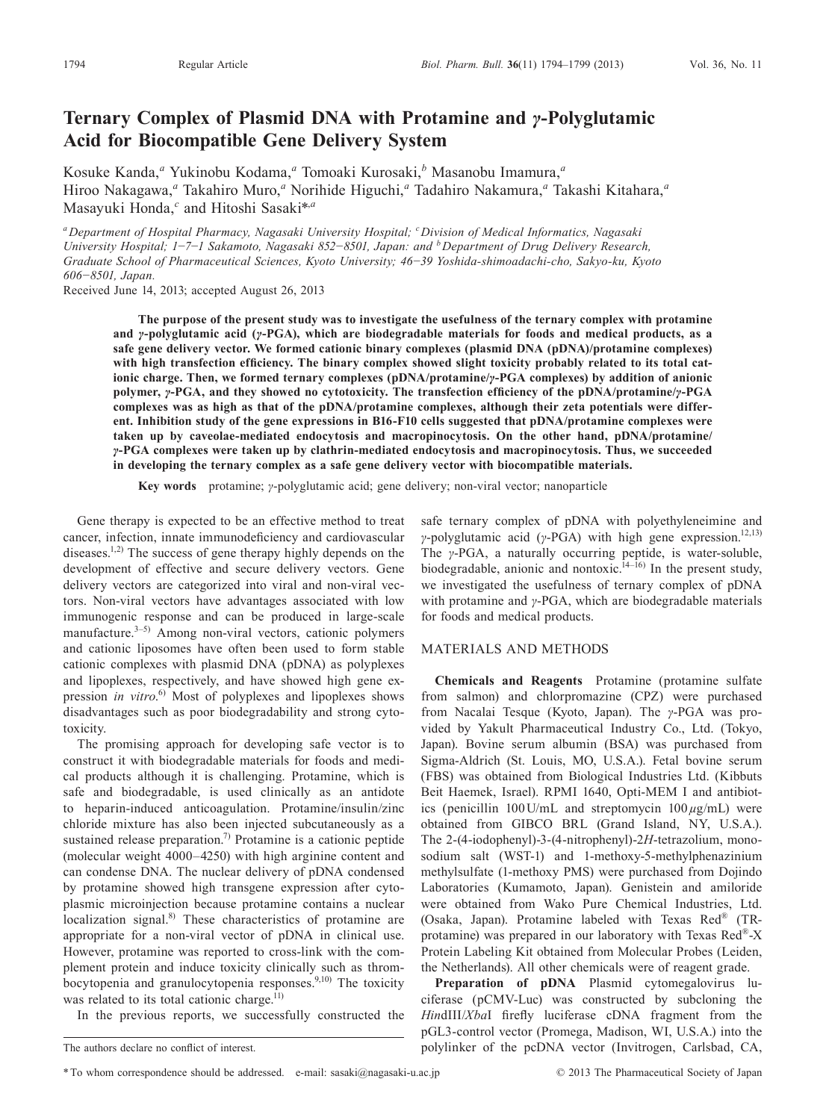# **Ternary Complex of Plasmid DNA with Protamine and** *γ***-Polyglutamic Acid for Biocompatible Gene Delivery System**

Kosuke Kanda,*<sup>a</sup>* Yukinobu Kodama,*<sup>a</sup>* Tomoaki Kurosaki,*<sup>b</sup>* Masanobu Imamura,*<sup>a</sup>* Hiroo Nakagawa,*<sup>a</sup>* Takahiro Muro,*<sup>a</sup>* Norihide Higuchi,*<sup>a</sup>* Tadahiro Nakamura,*<sup>a</sup>* Takashi Kitahara,*<sup>a</sup>* Masayuki Honda,*<sup>c</sup>* and Hitoshi Sasaki\*,*<sup>a</sup>*

*aDepartment of Hospital Pharmacy, Nagasaki University Hospital; cDivision of Medical Informatics, Nagasaki University Hospital; 1−7−1 Sakamoto, Nagasaki 852−8501, Japan: and bDepartment of Drug Delivery Research, Graduate School of Pharmaceutical Sciences, Kyoto University; 46−39 Yoshida-shimoadachi-cho, Sakyo-ku, Kyoto 606−8501, Japan.*

Received June 14, 2013; accepted August 26, 2013

**The purpose of the present study was to investigate the usefulness of the ternary complex with protamine and** *γ***-polyglutamic acid (***γ***-PGA), which are biodegradable materials for foods and medical products, as a safe gene delivery vector. We formed cationic binary complexes (plasmid DNA (pDNA)/protamine complexes) with high transfection efficiency. The binary complex showed slight toxicity probably related to its total cationic charge. Then, we formed ternary complexes (pDNA/protamine/***γ***-PGA complexes) by addition of anionic polymer,** *γ***-PGA, and they showed no cytotoxicity. The transfection efficiency of the pDNA/protamine/***γ***-PGA complexes was as high as that of the pDNA/protamine complexes, although their zeta potentials were different. Inhibition study of the gene expressions in B16-F10 cells suggested that pDNA/protamine complexes were taken up by caveolae-mediated endocytosis and macropinocytosis. On the other hand, pDNA/protamine/** *γ***-PGA complexes were taken up by clathrin-mediated endocytosis and macropinocytosis. Thus, we succeeded in developing the ternary complex as a safe gene delivery vector with biocompatible materials.**

**Key words** protamine; *γ*-polyglutamic acid; gene delivery; non-viral vector; nanoparticle

Gene therapy is expected to be an effective method to treat cancer, infection, innate immunodeficiency and cardiovascular diseases. $1,2)$  The success of gene therapy highly depends on the development of effective and secure delivery vectors. Gene delivery vectors are categorized into viral and non-viral vectors. Non-viral vectors have advantages associated with low immunogenic response and can be produced in large-scale manufacture.<sup>3–5)</sup> Among non-viral vectors, cationic polymers and cationic liposomes have often been used to form stable cationic complexes with plasmid DNA (pDNA) as polyplexes and lipoplexes, respectively, and have showed high gene expression *in vitro*. 6) Most of polyplexes and lipoplexes shows disadvantages such as poor biodegradability and strong cytotoxicity.

The promising approach for developing safe vector is to construct it with biodegradable materials for foods and medical products although it is challenging. Protamine, which is safe and biodegradable, is used clinically as an antidote to heparin-induced anticoagulation. Protamine/insulin/zinc chloride mixture has also been injected subcutaneously as a sustained release preparation.<sup>7)</sup> Protamine is a cationic peptide (molecular weight 4000–4250) with high arginine content and can condense DNA. The nuclear delivery of pDNA condensed by protamine showed high transgene expression after cytoplasmic microinjection because protamine contains a nuclear localization signal.<sup>8)</sup> These characteristics of protamine are appropriate for a non-viral vector of pDNA in clinical use. However, protamine was reported to cross-link with the complement protein and induce toxicity clinically such as thrombocytopenia and granulocytopenia responses.<sup>9,10)</sup> The toxicity was related to its total cationic charge.<sup>11)</sup>

In the previous reports, we successfully constructed the

safe ternary complex of pDNA with polyethyleneimine and *γ*-polyglutamic acid (*γ*-PGA) with high gene expression.<sup>12,13)</sup> The *γ*-PGA, a naturally occurring peptide, is water-soluble, biodegradable, anionic and nontoxic.<sup>14–16)</sup> In the present study, we investigated the usefulness of ternary complex of pDNA with protamine and *γ*-PGA, which are biodegradable materials for foods and medical products.

#### MATERIALS AND METHODS

**Chemicals and Reagents** Protamine (protamine sulfate from salmon) and chlorpromazine (CPZ) were purchased from Nacalai Tesque (Kyoto, Japan). The *γ*-PGA was provided by Yakult Pharmaceutical Industry Co., Ltd. (Tokyo, Japan). Bovine serum albumin (BSA) was purchased from Sigma-Aldrich (St. Louis, MO, U.S.A.). Fetal bovine serum (FBS) was obtained from Biological Industries Ltd. (Kibbuts Beit Haemek, Israel). RPMI 1640, Opti-MEM I and antibiotics (penicillin 100 U/mL and streptomycin 100 *µ*g/mL) were obtained from GIBCO BRL (Grand Island, NY, U.S.A.). The 2-(4-iodophenyl)-3-(4-nitrophenyl)-2*H*-tetrazolium, monosodium salt (WST-1) and 1-methoxy-5-methylphenazinium methylsulfate (1-methoxy PMS) were purchased from Dojindo Laboratories (Kumamoto, Japan). Genistein and amiloride were obtained from Wako Pure Chemical Industries, Ltd. (Osaka, Japan). Protamine labeled with Texas Red® (TRprotamine) was prepared in our laboratory with Texas Red®-X Protein Labeling Kit obtained from Molecular Probes (Leiden, the Netherlands). All other chemicals were of reagent grade.

**Preparation of pDNA** Plasmid cytomegalovirus luciferase (pCMV-Luc) was constructed by subcloning the *Hin*dIII/*Xba*I firefly luciferase cDNA fragment from the pGL3-control vector (Promega, Madison, WI, U.S.A.) into the polylinker of the pcDNA vector (Invitrogen, Carlsbad, CA,

The authors declare no conflict of interest.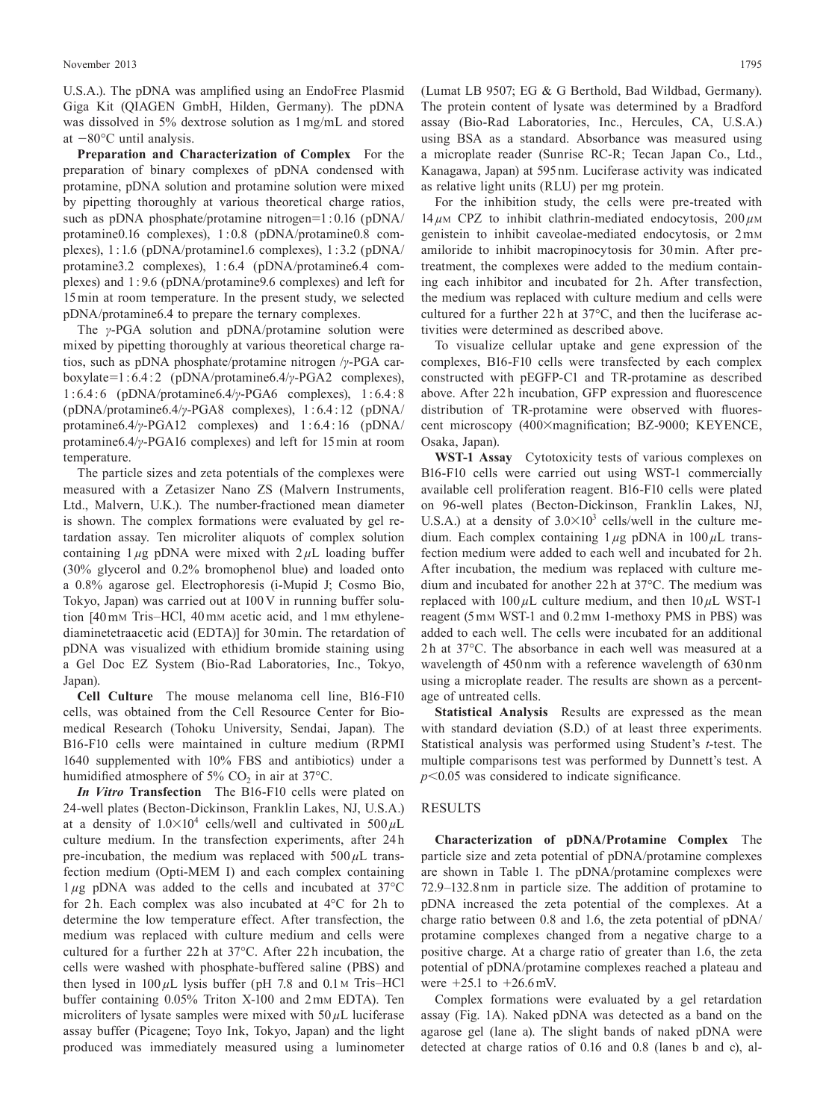U.S.A.). The pDNA was amplified using an EndoFree Plasmid Giga Kit (QIAGEN GmbH, Hilden, Germany). The pDNA was dissolved in 5% dextrose solution as 1 mg/mL and stored at −80°C until analysis.

**Preparation and Characterization of Complex** For the preparation of binary complexes of pDNA condensed with protamine, pDNA solution and protamine solution were mixed by pipetting thoroughly at various theoretical charge ratios, such as pDNA phosphate/protamine nitrogen=1:0.16 (pDNA/ protamine0.16 complexes), 1 : 0.8 (pDNA/protamine0.8 complexes), 1 : 1.6 (pDNA/protamine1.6 complexes), 1 : 3.2 (pDNA/ protamine3.2 complexes), 1:6.4 (pDNA/protamine6.4 complexes) and 1 : 9.6 (pDNA/protamine9.6 complexes) and left for 15 min at room temperature. In the present study, we selected pDNA/protamine6.4 to prepare the ternary complexes.

The *γ*-PGA solution and pDNA/protamine solution were mixed by pipetting thoroughly at various theoretical charge ratios, such as pDNA phosphate/protamine nitrogen /*γ*-PGA carboxylate= 1 : 6.4 : 2 (pDNA/protamine6.4/*γ*-PGA2 complexes), 1 : 6.4 : 6 (pDNA/protamine6.4/*γ*-PGA6 complexes), 1 : 6.4 : 8 (pDNA/protamine6.4/*γ*-PGA8 complexes), 1 : 6.4 : 12 (pDNA/ protamine6.4/*γ*-PGA12 complexes) and 1:6.4:16 (pDNA/ protamine6.4/*γ*-PGA16 complexes) and left for 15 min at room temperature.

The particle sizes and zeta potentials of the complexes were measured with a Zetasizer Nano ZS (Malvern Instruments, Ltd., Malvern, U.K.). The number-fractioned mean diameter is shown. The complex formations were evaluated by gel retardation assay. Ten microliter aliquots of complex solution containing  $1 \mu$ g pDNA were mixed with  $2 \mu$ L loading buffer (30% glycerol and 0.2% bromophenol blue) and loaded onto a 0.8% agarose gel. Electrophoresis (i-Mupid J; Cosmo Bio, Tokyo, Japan) was carried out at 100 V in running buffer solution [40 mm Tris-HCl, 40 mm acetic acid, and 1 mm ethylenediaminetetraacetic acid (EDTA)] for 30 min. The retardation of pDNA was visualized with ethidium bromide staining using a Gel Doc EZ System (Bio-Rad Laboratories, Inc., Tokyo, Japan).

**Cell Culture** The mouse melanoma cell line, B16-F10 cells, was obtained from the Cell Resource Center for Biomedical Research (Tohoku University, Sendai, Japan). The B16-F10 cells were maintained in culture medium (RPMI 1640 supplemented with 10% FBS and antibiotics) under a humidified atmosphere of  $5\%$  CO<sub>2</sub> in air at  $37^{\circ}$ C.

*In Vitro* **Transfection** The B16-F10 cells were plated on 24-well plates (Becton-Dickinson, Franklin Lakes, NJ, U.S.A.) at a density of  $1.0 \times 10^4$  cells/well and cultivated in  $500 \mu L$ culture medium. In the transfection experiments, after 24 h pre-incubation, the medium was replaced with  $500 \mu L$  transfection medium (Opti-MEM I) and each complex containing  $1 \mu$ g pDNA was added to the cells and incubated at  $37^{\circ}$ C for 2h. Each complex was also incubated at  $4^{\circ}$ C for 2h to determine the low temperature effect. After transfection, the medium was replaced with culture medium and cells were cultured for a further 22 h at 37°C. After 22 h incubation, the cells were washed with phosphate-buffered saline (PBS) and then lysed in  $100 \mu L$  lysis buffer (pH 7.8 and 0.1 M Tris–HCl buffer containing 0.05% Triton X-100 and 2 mm EDTA). Ten microliters of lysate samples were mixed with 50 *µ*L luciferase assay buffer (Picagene; Toyo Ink, Tokyo, Japan) and the light produced was immediately measured using a luminometer

(Lumat LB 9507; EG & G Berthold, Bad Wildbad, Germany). The protein content of lysate was determined by a Bradford assay (Bio-Rad Laboratories, Inc., Hercules, CA, U.S.A.) using BSA as a standard. Absorbance was measured using a microplate reader (Sunrise RC-R; Tecan Japan Co., Ltd., Kanagawa, Japan) at 595 nm. Luciferase activity was indicated as relative light units (RLU) per mg protein.

For the inhibition study, the cells were pre-treated with 14  $\mu$ M CPZ to inhibit clathrin-mediated endocytosis, 200  $\mu$ M genistein to inhibit caveolae-mediated endocytosis, or  $2 \text{mm}$ amiloride to inhibit macropinocytosis for 30 min. After pretreatment, the complexes were added to the medium containing each inhibitor and incubated for 2h. After transfection, the medium was replaced with culture medium and cells were cultured for a further 22 h at 37°C, and then the luciferase activities were determined as described above.

To visualize cellular uptake and gene expression of the complexes, B16-F10 cells were transfected by each complex constructed with pEGFP-C1 and TR-protamine as described above. After 22 h incubation, GFP expression and fluorescence distribution of TR-protamine were observed with fluorescent microscopy (400×magnification; BZ-9000; KEYENCE, Osaka, Japan).

**WST-1 Assay** Cytotoxicity tests of various complexes on B16-F10 cells were carried out using WST-1 commercially available cell proliferation reagent. B16-F10 cells were plated on 96-well plates (Becton-Dickinson, Franklin Lakes, NJ, U.S.A.) at a density of  $3.0 \times 10^3$  cells/well in the culture medium. Each complex containing 1 *µ*g pDNA in 100 *µ*L transfection medium were added to each well and incubated for 2 h. After incubation, the medium was replaced with culture medium and incubated for another 22 h at 37°C. The medium was replaced with  $100 \mu L$  culture medium, and then  $10 \mu L$  WST-1 reagent (5 mm WST-1 and 0.2 mm 1-methoxy PMS in PBS) was added to each well. The cells were incubated for an additional 2 h at 37°C. The absorbance in each well was measured at a wavelength of 450 nm with a reference wavelength of 630 nm using a microplate reader. The results are shown as a percentage of untreated cells.

**Statistical Analysis** Results are expressed as the mean with standard deviation (S.D.) of at least three experiments. Statistical analysis was performed using Student's *t*-test. The multiple comparisons test was performed by Dunnett's test. A *p*<0.05 was considered to indicate significance.

#### RESULTS

**Characterization of pDNA/Protamine Complex** The particle size and zeta potential of pDNA/protamine complexes are shown in Table 1. The pDNA/protamine complexes were 72.9–132.8 nm in particle size. The addition of protamine to pDNA increased the zeta potential of the complexes. At a charge ratio between 0.8 and 1.6, the zeta potential of pDNA/ protamine complexes changed from a negative charge to a positive charge. At a charge ratio of greater than 1.6, the zeta potential of pDNA/protamine complexes reached a plateau and were +25.1 to +26.6 mV.

Complex formations were evaluated by a gel retardation assay (Fig. 1A). Naked pDNA was detected as a band on the agarose gel (lane a). The slight bands of naked pDNA were detected at charge ratios of 0.16 and 0.8 (lanes b and c), al-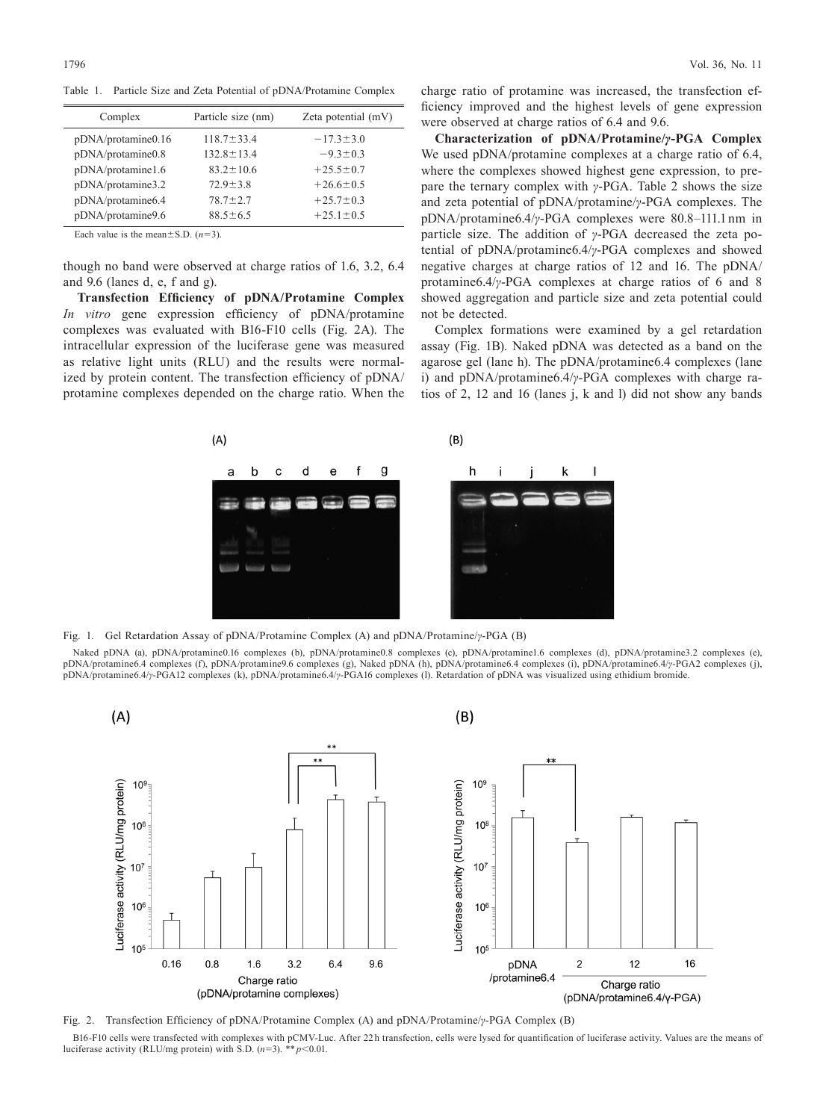Table 1. Particle Size and Zeta Potential of pDNA/Protamine Complex

| Complex            | Particle size (nm) | Zeta potential $(mV)$ |
|--------------------|--------------------|-----------------------|
| pDNA/protamine0.16 | $118.7 \pm 33.4$   | $-17.3 \pm 3.0$       |
| pDNA/protamine0.8  | $132.8 \pm 13.4$   | $-9.3 \pm 0.3$        |
| pDNA/protamine1.6  | $83.2 \pm 10.6$    | $+25.5 \pm 0.7$       |
| pDNA/protamine3.2  | $72.9 \pm 3.8$     | $+26.6 \pm 0.5$       |
| pDNA/protamine6.4  | $78.7 \pm 2.7$     | $+25.7 \pm 0.3$       |
| pDNA/protamine9.6  | $88.5 \pm 6.5$     | $+25.1 \pm 0.5$       |
|                    |                    |                       |

Each value is the mean $\pm$ S.D. (*n*=3).

though no band were observed at charge ratios of 1.6, 3.2, 6.4 and 9.6 (lanes d, e, f and g).

**Transfection Efficiency of pDNA/Protamine Complex** *In vitro* gene expression efficiency of pDNA/protamine complexes was evaluated with B16-F10 cells (Fig. 2A). The intracellular expression of the luciferase gene was measured as relative light units (RLU) and the results were normalized by protein content. The transfection efficiency of pDNA/ protamine complexes depended on the charge ratio. When the charge ratio of protamine was increased, the transfection efficiency improved and the highest levels of gene expression were observed at charge ratios of 6.4 and 9.6.

**Characterization of pDNA/Protamine/***γ***-PGA Complex** We used pDNA/protamine complexes at a charge ratio of 6.4, where the complexes showed highest gene expression, to prepare the ternary complex with *γ*-PGA. Table 2 shows the size and zeta potential of pDNA/protamine/*γ*-PGA complexes. The pDNA/protamine6.4/*γ*-PGA complexes were 80.8–111.1 nm in particle size. The addition of *γ*-PGA decreased the zeta potential of pDNA/protamine6.4/*γ*-PGA complexes and showed negative charges at charge ratios of 12 and 16. The pDNA/ protamine6.4/*γ*-PGA complexes at charge ratios of 6 and 8 showed aggregation and particle size and zeta potential could not be detected.

Complex formations were examined by a gel retardation assay (Fig. 1B). Naked pDNA was detected as a band on the agarose gel (lane h). The pDNA/protamine6.4 complexes (lane i) and pDNA/protamine6.4/*γ*-PGA complexes with charge ratios of 2, 12 and 16 (lanes j, k and l) did not show any bands



Fig. 1. Gel Retardation Assay of pDNA/Protamine Complex (A) and pDNA/Protamine/*γ*-PGA (B)

Naked pDNA (a), pDNA/protamine0.16 complexes (b), pDNA/protamine0.8 complexes (c), pDNA/protamine1.6 complexes (d), pDNA/protamine3.2 complexes (e), pDNA/protamine6.4 complexes (f), pDNA/protamine9.6 complexes (g), Naked pDNA (h), pDNA/protamine6.4 complexes (i), pDNA/protamine6.4/*γ*-PGA2 complexes (j), pDNA/protamine6.4/*γ*-PGA12 complexes (k), pDNA/protamine6.4/*γ*-PGA16 complexes (l). Retardation of pDNA was visualized using ethidium bromide.



Fig. 2. Transfection Efficiency of pDNA/Protamine Complex (A) and pDNA/Protamine/*γ*-PGA Complex (B)

B16-F10 cells were transfected with complexes with pCMV-Luc. After 22 h transfection, cells were lysed for quantification of luciferase activity. Values are the means of luciferase activity (RLU/mg protein) with S.D. (*n*=3). \*\* *p*<0.01.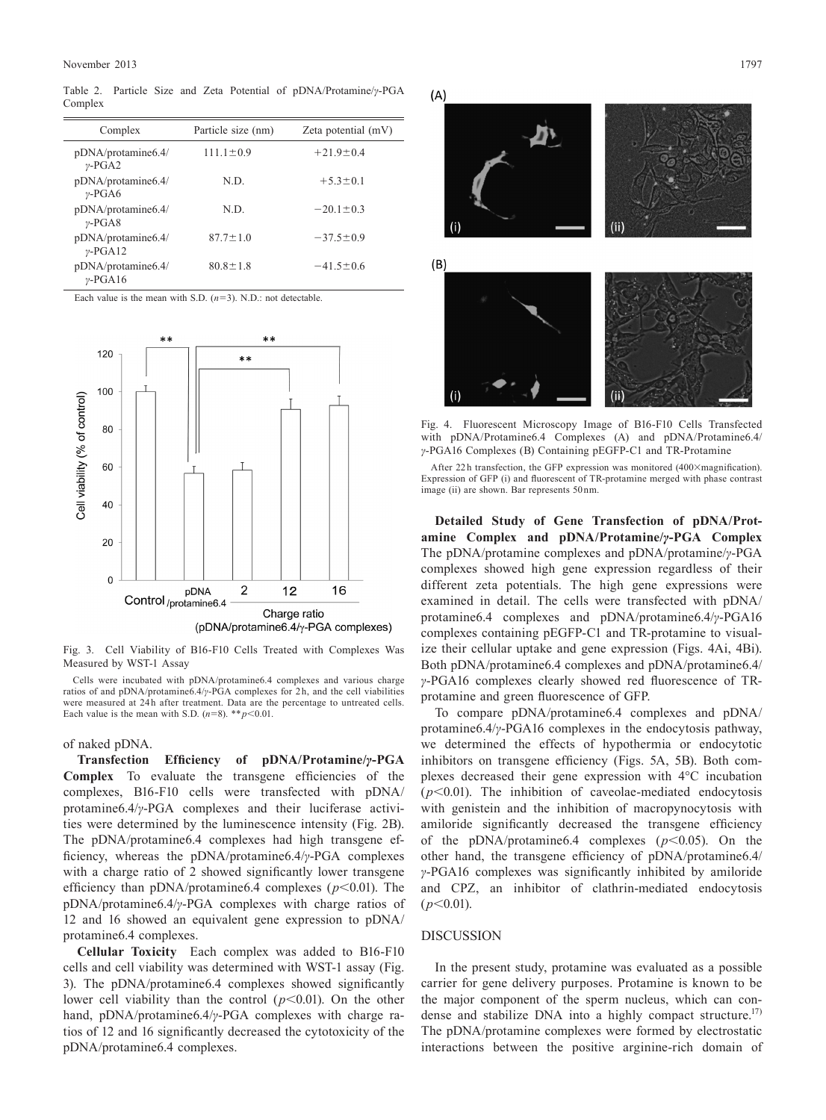Table 2. Particle Size and Zeta Potential of pDNA/Protamine/*γ*-PGA Complex

| Complex                            | Particle size (nm) | Zeta potential (mV) |
|------------------------------------|--------------------|---------------------|
| pDNA/protamine6.4/<br>$\nu$ -PGA2  | $111.1 \pm 0.9$    | $+21.9 \pm 0.4$     |
| pDNA/protamine6.4/<br>$\nu$ -PGA6  | N.D.               | $+5.3 \pm 0.1$      |
| pDNA/protamine6.4/<br>$\nu$ -PGA8  | N.D.               | $-20.1 \pm 0.3$     |
| pDNA/protamine6.4/<br>$\nu$ -PGA12 | $87.7 \pm 1.0$     | $-37.5 \pm 0.9$     |
| pDNA/protamine6.4/<br>$\nu$ -PGA16 | $80.8 \pm 1.8$     | $-41.5 \pm 0.6$     |

Each value is the mean with S.D.  $(n=3)$ . N.D.: not detectable.



Fig. 3. Cell Viability of B16-F10 Cells Treated with Complexes Was Measured by WST-1 Assay

Cells were incubated with pDNA/protamine6.4 complexes and various charge ratios of and pDNA/protamine6.4/*γ*-PGA complexes for 2 h, and the cell viabilities were measured at 24h after treatment. Data are the percentage to untreated cells. Each value is the mean with S.D.  $(n=8)$ . \*\*  $p < 0.01$ .

#### of naked pDNA.

**Transfection Efficiency of pDNA/Protamine/***γ***-PGA Complex** To evaluate the transgene efficiencies of the complexes, B16-F10 cells were transfected with pDNA/ protamine6.4/*γ*-PGA complexes and their luciferase activities were determined by the luminescence intensity (Fig. 2B). The pDNA/protamine6.4 complexes had high transgene efficiency, whereas the pDNA/protamine6.4/*γ*-PGA complexes with a charge ratio of 2 showed significantly lower transgene efficiency than pDNA/protamine6.4 complexes (*p*<0.01). The pDNA/protamine6.4/*γ*-PGA complexes with charge ratios of 12 and 16 showed an equivalent gene expression to pDNA/ protamine6.4 complexes.

**Cellular Toxicity** Each complex was added to B16-F10 cells and cell viability was determined with WST-1 assay (Fig. 3). The pDNA/protamine6.4 complexes showed significantly lower cell viability than the control  $(p<0.01)$ . On the other hand, pDNA/protamine6.4/*γ*-PGA complexes with charge ratios of 12 and 16 significantly decreased the cytotoxicity of the pDNA/protamine6.4 complexes.



Fig. 4. Fluorescent Microscopy Image of B16-F10 Cells Transfected with pDNA/Protamine6.4 Complexes (A) and pDNA/Protamine6.4/ *γ*-PGA16 Complexes (B) Containing pEGFP-C1 and TR-Protamine

After 22 h transfection, the GFP expression was monitored (400×magnification). Expression of GFP (i) and fluorescent of TR-protamine merged with phase contrast image (ii) are shown. Bar represents 50 nm.

**Detailed Study of Gene Transfection of pDNA/Protamine Complex and pDNA/Protamine/***γ***-PGA Complex** The pDNA/protamine complexes and pDNA/protamine/*γ*-PGA complexes showed high gene expression regardless of their different zeta potentials. The high gene expressions were examined in detail. The cells were transfected with pDNA/ protamine6.4 complexes and pDNA/protamine6.4/*γ*-PGA16 complexes containing pEGFP-C1 and TR-protamine to visualize their cellular uptake and gene expression (Figs. 4Ai, 4Bi). Both pDNA/protamine6.4 complexes and pDNA/protamine6.4/ *γ*-PGA16 complexes clearly showed red fluorescence of TRprotamine and green fluorescence of GFP.

To compare pDNA/protamine6.4 complexes and pDNA/ protamine6.4/*γ*-PGA16 complexes in the endocytosis pathway, we determined the effects of hypothermia or endocytotic inhibitors on transgene efficiency (Figs. 5A, 5B). Both complexes decreased their gene expression with 4°C incubation  $(p<0.01)$ . The inhibition of caveolae-mediated endocytosis with genistein and the inhibition of macropynocytosis with amiloride significantly decreased the transgene efficiency of the pDNA/protamine6.4 complexes (*p*<0.05). On the other hand, the transgene efficiency of pDNA/protamine6.4/ *γ*-PGA16 complexes was significantly inhibited by amiloride and CPZ, an inhibitor of clathrin-mediated endocytosis  $(p<0.01)$ .

### DISCUSSION

In the present study, protamine was evaluated as a possible carrier for gene delivery purposes. Protamine is known to be the major component of the sperm nucleus, which can condense and stabilize DNA into a highly compact structure.<sup>17)</sup> The pDNA/protamine complexes were formed by electrostatic interactions between the positive arginine-rich domain of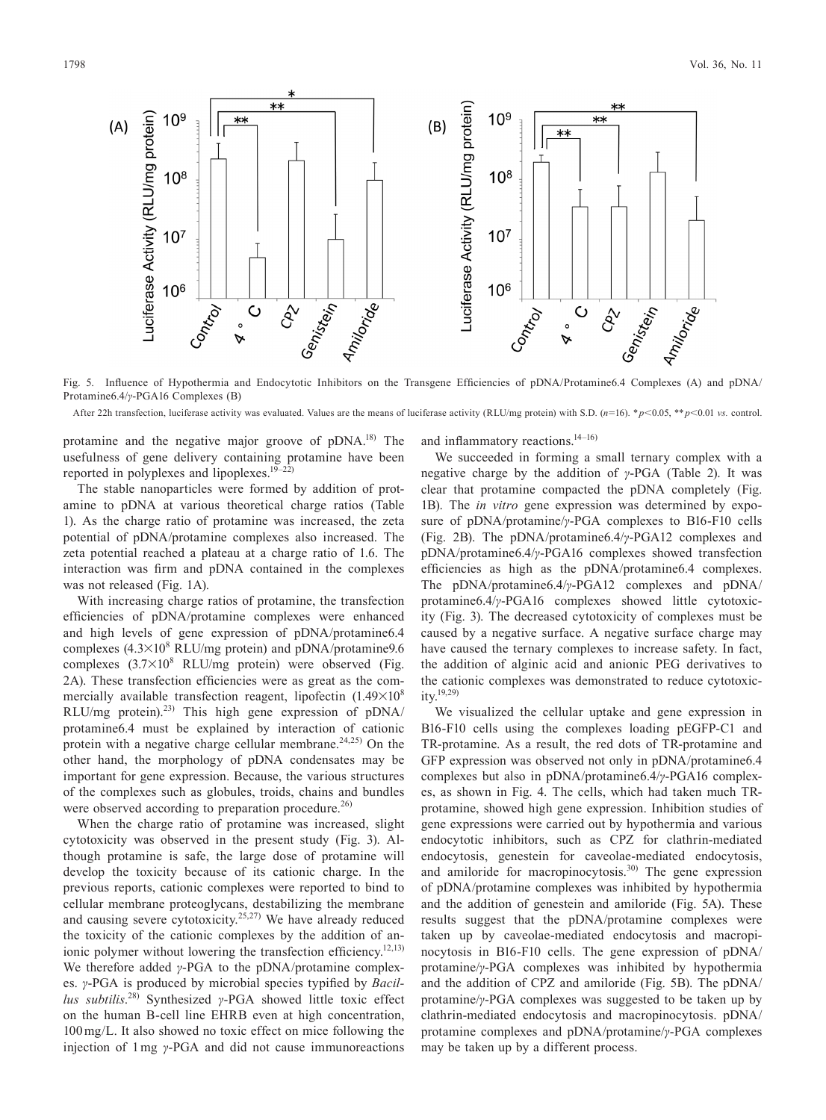

Fig. 5. Influence of Hypothermia and Endocytotic Inhibitors on the Transgene Efficiencies of pDNA/Protamine6.4 Complexes (A) and pDNA/ Protamine6.4/*γ*-PGA16 Complexes (B)

After 22h transfection, luciferase activity was evaluated. Values are the means of luciferase activity (RLU/mg protein) with S.D. (*n*=16). \* *p*<0.05, \*\* *p*<0.01 *vs.* control.

protamine and the negative major groove of  $pDNA<sup>18</sup>$ . The usefulness of gene delivery containing protamine have been reported in polyplexes and lipoplexes.<sup>19–22)</sup>

The stable nanoparticles were formed by addition of protamine to pDNA at various theoretical charge ratios (Table 1). As the charge ratio of protamine was increased, the zeta potential of pDNA/protamine complexes also increased. The zeta potential reached a plateau at a charge ratio of 1.6. The interaction was firm and pDNA contained in the complexes was not released (Fig. 1A).

With increasing charge ratios of protamine, the transfection efficiencies of pDNA/protamine complexes were enhanced and high levels of gene expression of pDNA/protamine6.4 complexes  $(4.3\times10^{8}$  RLU/mg protein) and pDNA/protamine9.6 complexes  $(3.7 \times 10^8 \text{ RLU/mg protein})$  were observed (Fig. 2A). These transfection efficiencies were as great as the commercially available transfection reagent, lipofectin  $(1.49 \times 10^8)$ RLU/mg protein).<sup>23)</sup> This high gene expression of  $pDNA/$ protamine6.4 must be explained by interaction of cationic protein with a negative charge cellular membrane.<sup>24,25)</sup> On the other hand, the morphology of pDNA condensates may be important for gene expression. Because, the various structures of the complexes such as globules, troids, chains and bundles were observed according to preparation procedure.<sup>26)</sup>

When the charge ratio of protamine was increased, slight cytotoxicity was observed in the present study (Fig. 3). Although protamine is safe, the large dose of protamine will develop the toxicity because of its cationic charge. In the previous reports, cationic complexes were reported to bind to cellular membrane proteoglycans, destabilizing the membrane and causing severe cytotoxicity.<sup>25,27)</sup> We have already reduced the toxicity of the cationic complexes by the addition of anionic polymer without lowering the transfection efficiency.<sup>12,13)</sup> We therefore added *γ*-PGA to the pDNA/protamine complexes. *γ*-PGA is produced by microbial species typified by *Bacillus subtilis*. 28) Synthesized *γ*-PGA showed little toxic effect on the human B-cell line EHRB even at high concentration, 100 mg/L. It also showed no toxic effect on mice following the injection of 1 mg *γ*-PGA and did not cause immunoreactions

and inflammatory reactions.<sup>14-16)</sup>

We succeeded in forming a small ternary complex with a negative charge by the addition of *γ*-PGA (Table 2). It was clear that protamine compacted the pDNA completely (Fig. 1B). The *in vitro* gene expression was determined by exposure of pDNA/protamine/*γ*-PGA complexes to B16-F10 cells (Fig. 2B). The pDNA/protamine6.4/*γ*-PGA12 complexes and pDNA/protamine6.4/*γ*-PGA16 complexes showed transfection efficiencies as high as the pDNA/protamine6.4 complexes. The pDNA/protamine6.4/*γ*-PGA12 complexes and pDNA/ protamine6.4/*γ*-PGA16 complexes showed little cytotoxicity (Fig. 3). The decreased cytotoxicity of complexes must be caused by a negative surface. A negative surface charge may have caused the ternary complexes to increase safety. In fact, the addition of alginic acid and anionic PEG derivatives to the cationic complexes was demonstrated to reduce cytotoxicity.19,29)

We visualized the cellular uptake and gene expression in B16-F10 cells using the complexes loading pEGFP-C1 and TR-protamine. As a result, the red dots of TR-protamine and GFP expression was observed not only in pDNA/protamine6.4 complexes but also in pDNA/protamine6.4/*γ*-PGA16 complexes, as shown in Fig. 4. The cells, which had taken much TRprotamine, showed high gene expression. Inhibition studies of gene expressions were carried out by hypothermia and various endocytotic inhibitors, such as CPZ for clathrin-mediated endocytosis, genestein for caveolae-mediated endocytosis, and amiloride for macropinocytosis.30) The gene expression of pDNA/protamine complexes was inhibited by hypothermia and the addition of genestein and amiloride (Fig. 5A). These results suggest that the pDNA/protamine complexes were taken up by caveolae-mediated endocytosis and macropinocytosis in B16-F10 cells. The gene expression of pDNA/ protamine/*γ*-PGA complexes was inhibited by hypothermia and the addition of CPZ and amiloride (Fig. 5B). The pDNA/ protamine/*γ*-PGA complexes was suggested to be taken up by clathrin-mediated endocytosis and macropinocytosis. pDNA/ protamine complexes and pDNA/protamine/*γ*-PGA complexes may be taken up by a different process.